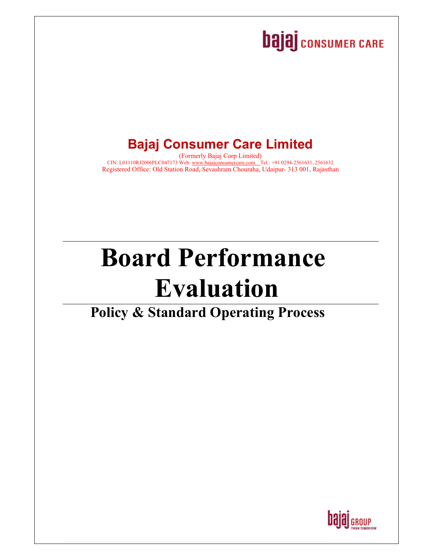## **bajaj** consumer CARE

## **Bajaj Consumer Care Limited**

(Formerly Bajaj Corp Limited) CIN: L01110RJ2006PLC047173 Web: www.bajajconsumercare.com [Tel.: +91 0294-2561631, 2561632 Registered Office: Old Station Road, Sevashram Chouraha, Udaipur- 313 001, Rajasthan

# **Board Performance Evaluation**

## **Policy & Standard Operating Process**

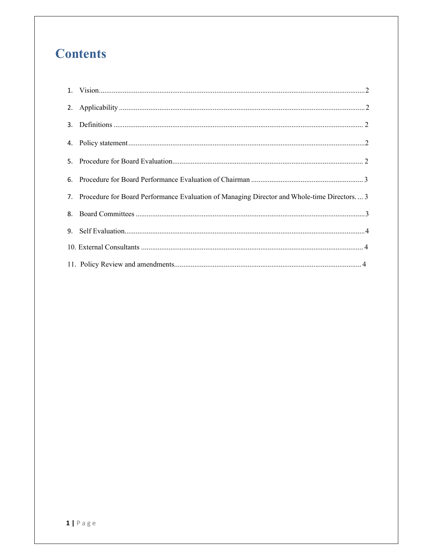### **Contents**

| 7. Procedure for Board Performance Evaluation of Managing Director and Whole-time Directors 3 |
|-----------------------------------------------------------------------------------------------|
|                                                                                               |
|                                                                                               |
|                                                                                               |
|                                                                                               |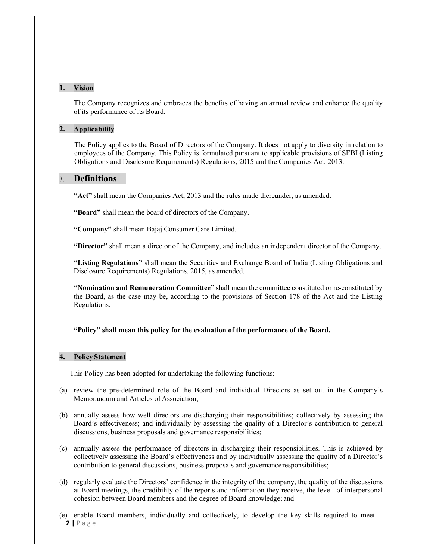#### **1. Vision**

The Company recognizes and embraces the benefits of having an annual review and enhance the quality of its performance of its Board.

#### **2. Applicability**

The Policy applies to the Board of Directors of the Company. It does not apply to diversity in relation to employees of the Company. This Policy is formulated pursuant to applicable provisions of SEBI (Listing Obligations and Disclosure Requirements) Regulations, 2015 and the Companies Act, 2013.

#### 3. **Definitions**

**"Act"** shall mean the Companies Act, 2013 and the rules made thereunder, as amended.

**"Board"** shall mean the board of directors of the Company.

**"Company"** shall mean Bajaj Consumer Care Limited.

**"Director"** shall mean a director of the Company, and includes an independent director of the Company.

**"Listing Regulations"** shall mean the Securities and Exchange Board of India (Listing Obligations and Disclosure Requirements) Regulations, 2015, as amended.

**"Nomination and Remuneration Committee"** shall mean the committee constituted or re-constituted by the Board, as the case may be, according to the provisions of Section 178 of the Act and the Listing Regulations.

#### **"Policy" shall mean this policy for the evaluation of the performance of the Board.**

#### **4. Policy Statement**

This Policy has been adopted for undertaking the following functions:

- (a) review the pre-determined role of the Board and individual Directors as set out in the Company's Memorandum and Articles of Association;
- (b) annually assess how well directors are discharging their responsibilities; collectively by assessing the Board's effectiveness; and individually by assessing the quality of a Director's contribution to general discussions, business proposals and governance responsibilities;
- (c) annually assess the performance of directors in discharging their responsibilities. This is achieved by collectively assessing the Board's effectiveness and by individually assessing the quality of a Director's contribution to general discussions, business proposals and governance responsibilities;
- (d) regularly evaluate the Directors' confidence in the integrity of the company, the quality of the discussions at Board meetings, the credibility of the reports and information they receive, the level of interpersonal cohesion between Board members and the degree of Board knowledge; and
- **2 |** P a g e (e) enable Board members, individually and collectively, to develop the key skills required to meet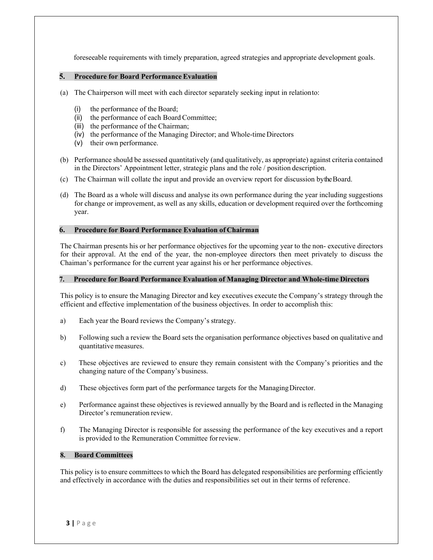foreseeable requirements with timely preparation, agreed strategies and appropriate development goals.

#### **5. Procedure for Board Performance Evaluation**

- (a) The Chairperson will meet with each director separately seeking input in relation to:
	- (i) the performance of the Board;
	- (ii) the performance of each Board Committee;
	- (iii) the performance of the Chairman;
	- (iv) the performance of the Managing Director; and Whole-time Directors
	- (v) their own performance.
- (b) Performance should be assessed quantitatively (and qualitatively, as appropriate) against criteria contained in the Directors' Appointment letter, strategic plans and the role / position description.
- (c) The Chairman will collate the input and provide an overview report for discussion by the Board.
- (d) The Board as a whole will discuss and analyse its own performance during the year including suggestions for change or improvement, as well as any skills, education or development required over the forthcoming year.

#### **6. Procedure for Board Performance Evaluation of Chairman**

The Chairman presents his or her performance objectives for the upcoming year to the non- executive directors for their approval. At the end of the year, the non-employee directors then meet privately to discuss the Chaiman's performance for the current year against his or her performance objectives.

#### **7. Procedure for Board Performance Evaluation of Managing Director and Whole-time Directors**

This policy is to ensure the Managing Director and key executives execute the Company's strategy through the efficient and effective implementation of the business objectives. In order to accomplish this:

- a) Each year the Board reviews the Company's strategy.
- b) Following such a review the Board sets the organisation performance objectives based on qualitative and quantitative measures.
- c) These objectives are reviewed to ensure they remain consistent with the Company's priorities and the changing nature of the Company's business.
- d) These objectives form part of the performance targets for the Managing Director.
- e) Performance against these objectives is reviewed annually by the Board and is reflected in the Managing Director's remuneration review.
- f) The Managing Director is responsible for assessing the performance of the key executives and a report is provided to the Remuneration Committee for review.

#### **8. Board Committees**

This policy is to ensure committees to which the Board has delegated responsibilities are performing efficiently and effectively in accordance with the duties and responsibilities set out in their terms of reference.